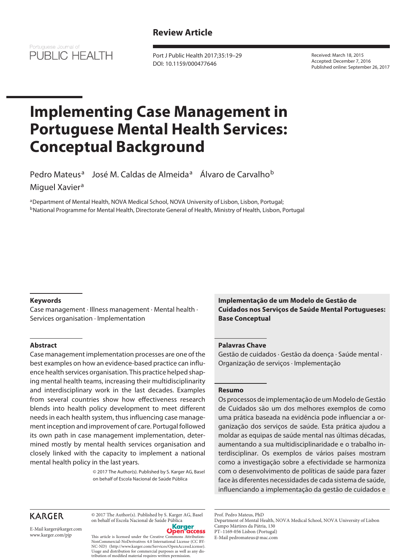## **Review Article**



Port J Public Health 2017;35:19–29 DOI: 10.1159/000477646

Received: March 18, 2015 Accepted: December 7, 2016 Published online: September 26, 2017

# **Implementing Case Management in Portuguese Mental Health Services: Conceptual Background**

Pedro Mateus<sup>a</sup> José M. Caldas de Almeida<sup>a</sup> Álvaro de Carvalho<sup>b</sup> Miguel Xavier<sup>a</sup>

aDepartment of Mental Health, NOVA Medical School, NOVA University of Lisbon, Lisbon, Portugal; <sup>b</sup>National Programme for Mental Health, Directorate General of Health, Ministry of Health, Lisbon, Portugal

#### **Keywords**

Case management · Illness management · Mental health · Services organisation · Implementation

#### **Abstract**

Case management implementation processes are one of the best examples on how an evidence-based practice can influence health services organisation. This practice helped shaping mental health teams, increasing their multidisciplinarity and interdisciplinary work in the last decades. Examples from several countries show how effectiveness research blends into health policy development to meet different needs in each health system, thus influencing case management inception and improvement of care. Portugal followed its own path in case management implementation, determined mostly by mental health services organisation and closely linked with the capacity to implement a national mental health policy in the last years.

> © 2017 The Author(s). Published by S. Karger AG, Basel on behalf of Escola Nacional de Saúde Pública

**Implementação de um Modelo de Gestão de Cuidados nos Serviços de Saúde Mental Portugueses: Base Conceptual**

#### **Palavras Chave**

Gestão de cuidados · Gestão da doença · Saúde mental · Organização de serviços · Implementação

#### **Resumo**

Os processos de implementação de um Modelo de Gestão de Cuidados são um dos melhores exemplos de como uma prática baseada na evidência pode influenciar a organização dos serviços de saúde. Esta prática ajudou a moldar as equipas de saúde mental nas últimas décadas, aumentando a sua multidisciplinaridade e o trabalho interdisciplinar. Os exemplos de vários países mostram como a investigação sobre a efectividade se harmoniza com o desenvolvimento de políticas de saúde para fazer face às diferentes necessidades de cada sistema de saúde, influenciando a implementação da gestão de cuidados e

## **KARGER**

E-Mail karger@karger.com www.karger.com/pjp

© 2017 The Author(s). Published by S. Karger AG, Basel on behalf of Escola Nacional de Saúde Pública<br> **Constant de Saúde Pública** 



This article is licensed under the Creative Commons Attribution-NonCommercial-NoDerivatives 4.0 International License (CC BY-NC-ND) (http://www.karger.com/Services/OpenAccessLicense). Usage and distribution for commercial purposes as well as any distribution of modified material requires written permission.

Department of Mental Health, NOVA Medical School, NOVA University of Lisbon Campo Mártires da Pátria, 130 PT–1169-056 Lisbon (Portugal)

E-Mail pedromateus@mac.com

Prof. Pedro Mateus, PhD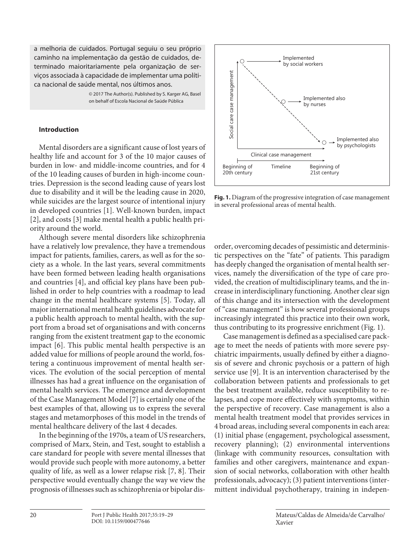a melhoria de cuidados. Portugal seguiu o seu próprio caminho na implementação da gestão de cuidados, determinado maioritariamente pela organização de serviços associada à capacidade de implementar uma política nacional de saúde mental, nos últimos anos.

> © 2017 The Author(s). Published by S. Karger AG, Basel on behalf of Escola Nacional de Saúde Pública

#### **Introduction**

Mental disorders are a significant cause of lost years of healthy life and account for 3 of the 10 major causes of burden in low- and middle-income countries, and for 4 of the 10 leading causes of burden in high-income countries. Depression is the second leading cause of years lost due to disability and it will be the leading cause in 2020, while suicides are the largest source of intentional injury in developed countries [1]. Well-known burden, impact [2], and costs [3] make mental health a public health priority around the world.

Although severe mental disorders like schizophrenia have a relatively low prevalence, they have a tremendous impact for patients, families, carers, as well as for the society as a whole. In the last years, several commitments have been formed between leading health organisations and countries [4], and official key plans have been published in order to help countries with a roadmap to lead change in the mental healthcare systems [5]. Today, all major international mental health guidelines advocate for a public health approach to mental health, with the support from a broad set of organisations and with concerns ranging from the existent treatment gap to the economic impact [6]. This public mental health perspective is an added value for millions of people around the world, fostering a continuous improvement of mental health services. The evolution of the social perception of mental illnesses has had a great influence on the organisation of mental health services. The emergence and development of the Case Management Model [7] is certainly one of the best examples of that, allowing us to express the several stages and metamorphoses of this model in the trends of mental healthcare delivery of the last 4 decades.

In the beginning of the 1970s, a team of US researchers, comprised of Marx, Stein, and Test, sought to establish a care standard for people with severe mental illnesses that would provide such people with more autonomy, a better quality of life, as well as a lower relapse risk [7, 8]. Their perspective would eventually change the way we view the prognosis of illnesses such as schizophrenia or bipolar dis-



**Fig. 1.** Diagram of the progressive integration of case management in several professional areas of mental health.

order, overcoming decades of pessimistic and deterministic perspectives on the "fate" of patients. This paradigm has deeply changed the organisation of mental health services, namely the diversification of the type of care provided, the creation of multidisciplinary teams, and the increase in interdisciplinary functioning. Another clear sign of this change and its intersection with the development of "case management" is how several professional groups increasingly integrated this practice into their own work, thus contributing to its progressive enrichment (Fig. 1).

Case management is defined as a specialised care package to meet the needs of patients with more severe psychiatric impairments, usually defined by either a diagnosis of severe and chronic psychosis or a pattern of high service use [9]. It is an intervention characterised by the collaboration between patients and professionals to get the best treatment available, reduce susceptibility to relapses, and cope more effectively with symptoms, within the perspective of recovery. Case management is also a mental health treatment model that provides services in 4 broad areas, including several components in each area: (1) initial phase (engagement, psychological assessment, recovery planning); (2) environmental interventions (linkage with community resources, consultation with families and other caregivers, maintenance and expansion of social networks, collaboration with other health professionals, advocacy); (3) patient interventions (intermittent individual psychotherapy, training in indepen-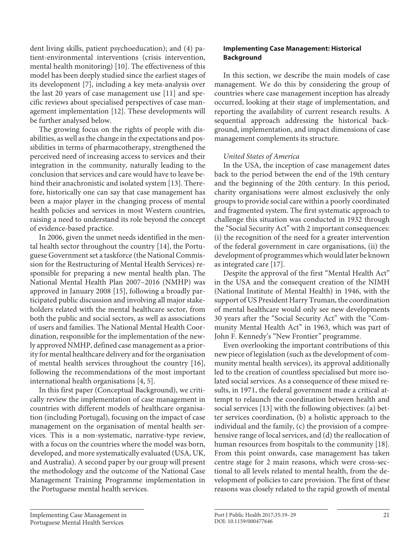dent living skills, patient psychoeducation); and (4) patient-environmental interventions (crisis intervention, mental health monitoring) [10]. The effectiveness of this model has been deeply studied since the earliest stages of its development [7], including a key meta-analysis over the last 20 years of case management use [11] and specific reviews about specialised perspectives of case management implementation [12]. These developments will be further analysed below.

The growing focus on the rights of people with disabilities, as well as the change in the expectations and possibilities in terms of pharmacotherapy, strengthened the perceived need of increasing access to services and their integration in the community, naturally leading to the conclusion that services and care would have to leave behind their anachronistic and isolated system [13]. Therefore, historically one can say that case management has been a major player in the changing process of mental health policies and services in most Western countries, raising a need to understand its role beyond the concept of evidence-based practice.

In 2006, given the unmet needs identified in the mental health sector throughout the country [14], the Portuguese Government set a taskforce (the National Commission for the Restructuring of Mental Health Services) responsible for preparing a new mental health plan. The National Mental Health Plan 2007–2016 (NMHP) was approved in January 2008 [15], following a broadly participated public discussion and involving all major stakeholders related with the mental healthcare sector, from both the public and social sectors, as well as associations of users and families. The National Mental Health Coordination, responsible for the implementation of the newly approved NMHP, defined case management as a priority for mental healthcare delivery and for the organisation of mental health services throughout the country [16], following the recommendations of the most important international health organisations [4, 5].

In this first paper (Conceptual Background), we critically review the implementation of case management in countries with different models of healthcare organisation (including Portugal), focusing on the impact of case management on the organisation of mental health services. This is a non-systematic, narrative-type review, with a focus on the countries where the model was born, developed, and more systematically evaluated (USA, UK, and Australia). A second paper by our group will present the methodology and the outcome of the National Case Management Training Programme implementation in the Portuguese mental health services.

## **Implementing Case Management: Historical Background**

In this section, we describe the main models of case management. We do this by considering the group of countries where case management inception has already occurred, looking at their stage of implementation, and reporting the availability of current research results. A sequential approach addressing the historical background, implementation, and impact dimensions of case management complements its structure.

## *United States of America*

In the USA, the inception of case management dates back to the period between the end of the 19th century and the beginning of the 20th century. In this period, charity organisations were almost exclusively the only groups to provide social care within a poorly coordinated and fragmented system. The first systematic approach to challenge this situation was conducted in 1932 through the "Social Security Act" with 2 important consequences: (i) the recognition of the need for a greater intervention of the federal government in care organisations, (ii) the development of programmes which would later be known as integrated care [17].

Despite the approval of the first "Mental Health Act" in the USA and the consequent creation of the NIMH (National Institute of Mental Health) in 1946, with the support of US President Harry Truman, the coordination of mental healthcare would only see new developments 30 years after the "Social Security Act" with the "Community Mental Health Act" in 1963, which was part of John F. Kennedy's "New Frontier*"* programme.

Even overlooking the important contributions of this new piece of legislation (such as the development of community mental health services), its approval additionally led to the creation of countless specialised but more isolated social services. As a consequence of these mixed results, in 1971, the federal government made a critical attempt to relaunch the coordination between health and social services [13] with the following objectives: (a) better services coordination, (b) a holistic approach to the individual and the family, (c) the provision of a comprehensive range of local services, and (d) the reallocation of human resources from hospitals to the community [18]. From this point onwards, case management has taken centre stage for 2 main reasons, which were cross-sectional to all levels related to mental health, from the development of policies to care provision. The first of these reasons was closely related to the rapid growth of mental

Implementing Case Management in Portuguese Mental Health Services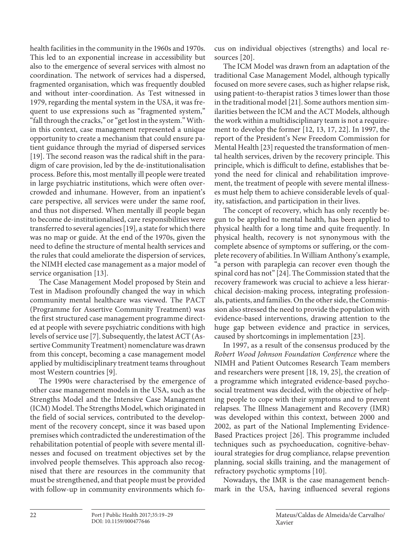health facilities in the community in the 1960s and 1970s. This led to an exponential increase in accessibility but also to the emergence of several services with almost no coordination. The network of services had a dispersed, fragmented organisation, which was frequently doubled and without inter-coordination. As Test witnessed in 1979, regarding the mental system in the USA, it was frequent to use expressions such as "fragmented system," "fall through the cracks," or "get lost in the system." Within this context, case management represented a unique opportunity to create a mechanism that could ensure patient guidance through the myriad of dispersed services [19]. The second reason was the radical shift in the paradigm of care provision, led by the de-institutionalisation process. Before this, most mentally ill people were treated in large psychiatric institutions, which were often overcrowded and inhumane. However, from an inpatient's care perspective, all services were under the same roof, and thus not dispersed. When mentally ill people began to become de-institutionalised, care responsibilities were transferred to several agencies [19], a state for which there was no map or guide. At the end of the 1970s, given the need to define the structure of mental health services and the rules that could ameliorate the dispersion of services, the NIMH elected case management as a major model of service organisation [13].

The Case Management Model proposed by Stein and Test in Madison profoundly changed the way in which community mental healthcare was viewed. The PACT (Programme for Assertive Community Treatment) was the first structured case management programme directed at people with severe psychiatric conditions with high levels of service use [7]. Subsequently, the latest ACT (Assertive Community Treatment) nomenclature was drawn from this concept, becoming a case management model applied by multidisciplinary treatment teams throughout most Western countries [9].

The 1990s were characterised by the emergence of other case management models in the USA, such as the Strengths Model and the Intensive Case Management (ICM) Model. The Strengths Model, which originated in the field of social services, contributed to the development of the recovery concept, since it was based upon premises which contradicted the underestimation of the rehabilitation potential of people with severe mental illnesses and focused on treatment objectives set by the involved people themselves. This approach also recognised that there are resources in the community that must be strengthened, and that people must be provided with follow-up in community environments which focus on individual objectives (strengths) and local resources [20].

The ICM Model was drawn from an adaptation of the traditional Case Management Model, although typically focused on more severe cases, such as higher relapse risk, using patient-to-therapist ratios 3 times lower than those in the traditional model [21]. Some authors mention similarities between the ICM and the ACT Models, although the work within a multidisciplinary team is not a requirement to develop the former [12, 13, 17, 22]. In 1997, the report of the President's New Freedom Commission for Mental Health [23] requested the transformation of mental health services, driven by the recovery principle. This principle, which is difficult to define, establishes that beyond the need for clinical and rehabilitation improvement, the treatment of people with severe mental illnesses must help them to achieve considerable levels of quality, satisfaction, and participation in their lives.

The concept of recovery, which has only recently begun to be applied to mental health, has been applied to physical health for a long time and quite frequently. In physical health, recovery is not synonymous with the complete absence of symptoms or suffering, or the complete recovery of abilities. In William Anthony's example, "a person with paraplegia can recover even though the spinal cord has not" [24]. The Commission stated that the recovery framework was crucial to achieve a less hierarchical decision-making process, integrating professionals, patients, and families. On the other side, the Commission also stressed the need to provide the population with evidence-based interventions, drawing attention to the huge gap between evidence and practice in services, caused by shortcomings in implementation [23].

In 1997, as a result of the consensus produced by the *Robert Wood Johnson Foundation Conference* where the NIMH and Patient Outcomes Research Team members and researchers were present [18, 19, 25], the creation of a programme which integrated evidence-based psychosocial treatment was decided, with the objective of helping people to cope with their symptoms and to prevent relapses. The Illness Management and Recovery (IMR) was developed within this context, between 2000 and 2002, as part of the National Implementing Evidence-Based Practices project [26]. This programme included techniques such as psychoeducation, cognitive-behavioural strategies for drug compliance, relapse prevention planning, social skills training, and the management of refractory psychotic symptoms [10].

Nowadays, the IMR is the case management benchmark in the USA, having influenced several regions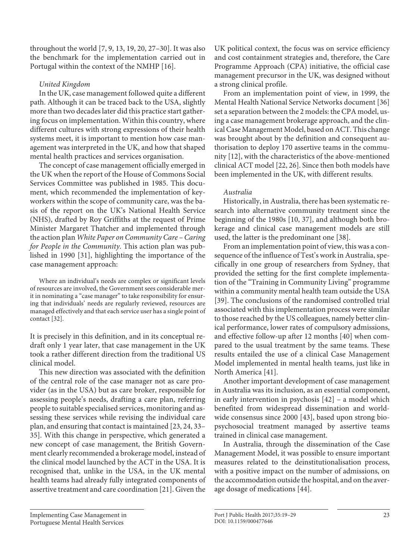throughout the world [7, 9, 13, 19, 20, 27–30]. It was also the benchmark for the implementation carried out in Portugal within the context of the NMHP [16].

## *United Kingdom*

In the UK, case management followed quite a different path. Although it can be traced back to the USA, slightly more than two decades later did this practice start gathering focus on implementation. Within this country, where different cultures with strong expressions of their health systems meet, it is important to mention how case management was interpreted in the UK, and how that shaped mental health practices and services organisation.

The concept of case management officially emerged in the UK when the report of the House of Commons Social Services Committee was published in 1985. This document, which recommended the implementation of keyworkers within the scope of community care, was the basis of the report on the UK's National Health Service (NHS), drafted by Roy Griffiths at the request of Prime Minister Margaret Thatcher and implemented through the action plan *White Paper on Community Care – Caring for People in the Community*. This action plan was published in 1990 [31], highlighting the importance of the case management approach:

Where an individual's needs are complex or significant levels of resources are involved, the Government sees considerable merit in nominating a "case manager" to take responsibility for ensuring that individuals' needs are regularly reviewed, resources are managed effectively and that each service user has a single point of contact [32].

It is precisely in this definition, and in its conceptual redraft only 1 year later, that case management in the UK took a rather different direction from the traditional US clinical model.

This new direction was associated with the definition of the central role of the case manager not as care provider (as in the USA) but as care broker, responsible for assessing people's needs, drafting a care plan, referring people to suitable specialised services, monitoring and assessing these services while revising the individual care plan, and ensuring that contact is maintained [23, 24, 33– 35]. With this change in perspective, which generated a new concept of case management, the British Government clearly recommended a brokerage model, instead of the clinical model launched by the ACT in the USA. It is recognised that, unlike in the USA, in the UK mental health teams had already fully integrated components of assertive treatment and care coordination [21]. Given the

UK political context, the focus was on service efficiency and cost containment strategies and, therefore, the Care Programme Approach (CPA) initiative, the official case management precursor in the UK, was designed without a strong clinical profile.

From an implementation point of view, in 1999, the Mental Health National Service Networks document [36] set a separation between the 2 models: the CPA model, using a case management brokerage approach, and the clinical Case Management Model, based on ACT. This change was brought about by the definition and consequent authorisation to deploy 170 assertive teams in the community [12], with the characteristics of the above-mentioned clinical ACT model [22, 26]. Since then both models have been implemented in the UK, with different results.

## *Australia*

Historically, in Australia, there has been systematic research into alternative community treatment since the beginning of the 1980s [10, 37], and although both brokerage and clinical case management models are still used, the latter is the predominant one [38].

From an implementation point of view, this was a consequence of the influence of Test's work in Australia, specifically in one group of researchers from Sydney, that provided the setting for the first complete implementation of the "Training in Community Living" programme within a community mental health team outside the USA [39]. The conclusions of the randomised controlled trial associated with this implementation process were similar to those reached by the US colleagues, namely better clinical performance, lower rates of compulsory admissions, and effective follow-up after 12 months [40] when compared to the usual treatment by the same teams. These results entailed the use of a clinical Case Management Model implemented in mental health teams, just like in North America [41].

Another important development of case management in Australia was its inclusion, as an essential component, in early intervention in psychosis [42] – a model which benefited from widespread dissemination and worldwide consensus since 2000 [43], based upon strong biopsychosocial treatment managed by assertive teams trained in clinical case management.

In Australia, through the dissemination of the Case Management Model, it was possible to ensure important measures related to the deinstitutionalisation process, with a positive impact on the number of admissions, on the accommodation outside the hospital, and on the average dosage of medications [44].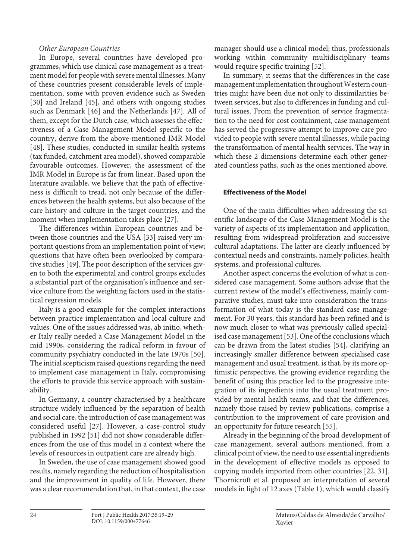#### *Other European Countries*

In Europe, several countries have developed programmes, which use clinical case management as a treatment model for people with severe mental illnesses. Many of these countries present considerable levels of implementation, some with proven evidence such as Sweden [30] and Ireland [45], and others with ongoing studies such as Denmark [46] and the Netherlands [47]. All of them, except for the Dutch case, which assesses the effectiveness of a Case Management Model specific to the country, derive from the above-mentioned IMR Model [48]. These studies, conducted in similar health systems (tax funded, catchment area model), showed comparable favourable outcomes. However, the assessment of the IMR Model in Europe is far from linear. Based upon the literature available, we believe that the path of effectiveness is difficult to tread, not only because of the differences between the health systems, but also because of the care history and culture in the target countries, and the moment when implementation takes place [27].

The differences within European countries and between those countries and the USA [33] raised very important questions from an implementation point of view; questions that have often been overlooked by comparative studies [49]. The poor description of the services given to both the experimental and control groups excludes a substantial part of the organisation's influence and service culture from the weighting factors used in the statistical regression models.

Italy is a good example for the complex interactions between practice implementation and local culture and values. One of the issues addressed was, ab initio, whether Italy really needed a Case Management Model in the mid 1990s, considering the radical reform in favour of community psychiatry conducted in the late 1970s [50]. The initial scepticism raised questions regarding the need to implement case management in Italy, compromising the efforts to provide this service approach with sustainability.

In Germany, a country characterised by a healthcare structure widely influenced by the separation of health and social care, the introduction of case management was considered useful [27]. However, a case-control study published in 1992 [51] did not show considerable differences from the use of this model in a context where the levels of resources in outpatient care are already high.

In Sweden, the use of case management showed good results, namely regarding the reduction of hospitalisation and the improvement in quality of life. However, there was a clear recommendation that, in that context, the case manager should use a clinical model; thus, professionals working within community multidisciplinary teams would require specific training [52].

In summary, it seems that the differences in the case management implementation throughout Western countries might have been due not only to dissimilarities between services, but also to differences in funding and cultural issues. From the prevention of service fragmentation to the need for cost containment, case management has served the progressive attempt to improve care provided to people with severe mental illnesses, while pacing the transformation of mental health services. The way in which these 2 dimensions determine each other generated countless paths, such as the ones mentioned above.

#### **Effectiveness of the Model**

One of the main difficulties when addressing the scientific landscape of the Case Management Model is the variety of aspects of its implementation and application, resulting from widespread proliferation and successive cultural adaptations. The latter are clearly influenced by contextual needs and constraints, namely policies, health systems, and professional cultures.

Another aspect concerns the evolution of what is considered case management. Some authors advise that the current review of the model's effectiveness, mainly comparative studies, must take into consideration the transformation of what today is the standard case management. For 30 years, this standard has been refined and is now much closer to what was previously called specialised case management [53]. One of the conclusions which can be drawn from the latest studies [54], clarifying an increasingly smaller difference between specialised case management and usual treatment, is that, by its more optimistic perspective, the growing evidence regarding the benefit of using this practice led to the progressive integration of its ingredients into the usual treatment provided by mental health teams, and that the differences, namely those raised by review publications, comprise a contribution to the improvement of care provision and an opportunity for future research [55].

Already in the beginning of the broad development of case management, several authors mentioned, from a clinical point of view, the need to use essential ingredients in the development of effective models as opposed to copying models imported from other countries [22, 31]. Thornicroft et al. proposed an interpretation of several models in light of 12 axes (Table 1), which would classify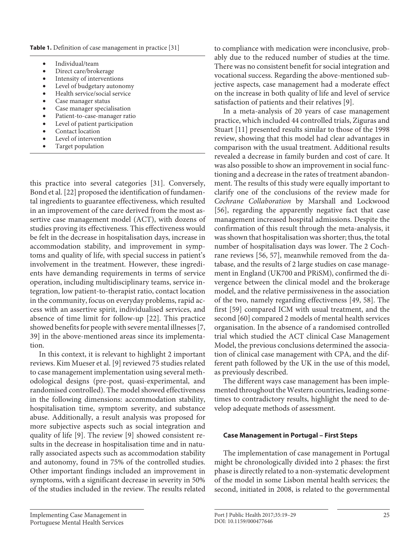**Table 1.** Definition of case management in practice [31]

- Individual/team
- Direct care/brokerage
- • Intensity of interventions
- • Level of budgetary autonomy
- Health service/social service
- Case manager status
- Case manager specialisation
- Patient-to-case-manager ratio
- Level of patient participation Contact location
- Level of intervention
- Target population
- this practice into several categories [31]. Conversely, Bond et al. [22] proposed the identification of fundamental ingredients to guarantee effectiveness, which resulted in an improvement of the care derived from the most assertive case management model (ACT), with dozens of studies proving its effectiveness. This effectiveness would be felt in the decrease in hospitalisation days, increase in accommodation stability, and improvement in symptoms and quality of life, with special success in patient's involvement in the treatment. However, these ingredients have demanding requirements in terms of service operation, including multidisciplinary teams, service integration, low patient-to-therapist ratio, contact location in the community, focus on everyday problems, rapid access with an assertive spirit, individualised services, and absence of time limit for follow-up [22]. This practice showed benefits for people with severe mental illnesses [7, 39] in the above-mentioned areas since its implementation.

In this context, it is relevant to highlight 2 important reviews. Kim Mueser et al. [9] reviewed 75 studies related to case management implementation using several methodological designs (pre-post, quasi-experimental, and randomised controlled). The model showed effectiveness in the following dimensions: accommodation stability, hospitalisation time, symptom severity, and substance abuse. Additionally, a result analysis was proposed for more subjective aspects such as social integration and quality of life [9]. The review [9] showed consistent results in the decrease in hospitalisation time and in naturally associated aspects such as accommodation stability and autonomy, found in 75% of the controlled studies. Other important findings included an improvement in symptoms, with a significant decrease in severity in 50% of the studies included in the review. The results related

to compliance with medication were inconclusive, probably due to the reduced number of studies at the time. There was no consistent benefit for social integration and vocational success. Regarding the above-mentioned subjective aspects, case management had a moderate effect on the increase in both quality of life and level of service satisfaction of patients and their relatives [9].

In a meta-analysis of 20 years of case management practice, which included 44 controlled trials, Ziguras and Stuart [11] presented results similar to those of the 1998 review, showing that this model had clear advantages in comparison with the usual treatment. Additional results revealed a decrease in family burden and cost of care. It was also possible to show an improvement in social functioning and a decrease in the rates of treatment abandonment. The results of this study were equally important to clarify one of the conclusions of the review made for *Cochrane Collaboration* by Marshall and Lockwood [56], regarding the apparently negative fact that case management increased hospital admissions. Despite the confirmation of this result through the meta-analysis, it was shown that hospitalisation was shorter; thus, the total number of hospitalisation days was lower. The 2 Cochrane reviews [56, 57], meanwhile removed from the database, and the results of 2 large studies on case management in England (UK700 and PRiSM), confirmed the divergence between the clinical model and the brokerage model, and the relative permissiveness in the association of the two, namely regarding effectiveness [49, 58]. The first [59] compared ICM with usual treatment, and the second [60] compared 2 models of mental health services organisation. In the absence of a randomised controlled trial which studied the ACT clinical Case Management Model, the previous conclusions determined the association of clinical case management with CPA, and the different path followed by the UK in the use of this model, as previously described.

The different ways case management has been implemented throughout the Western countries, leading sometimes to contradictory results, highlight the need to develop adequate methods of assessment.

#### **Case Management in Portugal – First Steps**

The implementation of case management in Portugal might be chronologically divided into 2 phases: the first phase is directly related to a non-systematic development of the model in some Lisbon mental health services; the second, initiated in 2008, is related to the governmental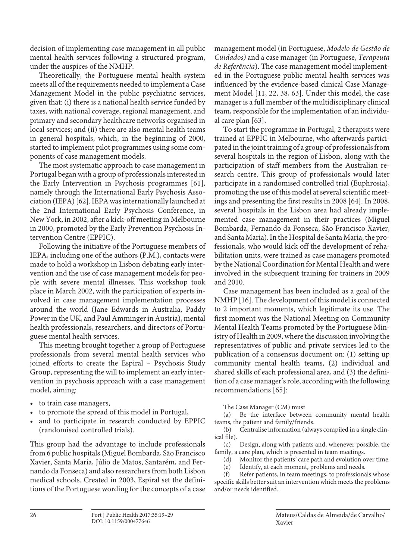decision of implementing case management in all public mental health services following a structured program, under the auspices of the NMHP.

Theoretically, the Portuguese mental health system meets all of the requirements needed to implement a Case Management Model in the public psychiatric services, given that: (i) there is a national health service funded by taxes, with national coverage, regional management, and primary and secondary healthcare networks organised in local services; and (ii) there are also mental health teams in general hospitals, which, in the beginning of 2000, started to implement pilot programmes using some components of case management models.

The most systematic approach to case management in Portugal began with a group of professionals interested in the Early Intervention in Psychosis programmes [61], namely through the International Early Psychosis Association (IEPA) [62]. IEPA was internationally launched at the 2nd International Early Psychosis Conference, in New York, in 2002, after a kick-off meeting in Melbourne in 2000, promoted by the Early Prevention Psychosis Intervention Centre (EPPIC).

Following the initiative of the Portuguese members of IEPA, including one of the authors (P.M.), contacts were made to hold a workshop in Lisbon debating early intervention and the use of case management models for people with severe mental illnesses. This workshop took place in March 2002, with the participation of experts involved in case management implementation processes around the world (Jane Edwards in Australia, Paddy Power in the UK, and Paul Amminger in Austria), mental health professionals, researchers, and directors of Portuguese mental health services.

This meeting brought together a group of Portuguese professionals from several mental health services who joined efforts to create the Espiral – Psychosis Study Group, representing the will to implement an early intervention in psychosis approach with a case management model, aiming:

- • to train case managers,
- to promote the spread of this model in Portugal,
- and to participate in research conducted by EPPIC (randomised controlled trials).

This group had the advantage to include professionals from 6 public hospitals (Miguel Bombarda, São Francisco Xavier, Santa Maria, Júlio de Matos, Santarém, and Fernando da Fonseca) and also researchers from both Lisbon medical schools. Created in 2003, Espiral set the definitions of the Portuguese wording for the concepts of a case management model (in Portuguese, *Modelo de Gestão de Cuidados)* and a case manager (in Portuguese, *Terapeuta de Referência*). The case management model implemented in the Portuguese public mental health services was influenced by the evidence-based clinical Case Management Model [11, 22, 38, 63]. Under this model, the case manager is a full member of the multidisciplinary clinical team, responsible for the implementation of an individual care plan [63].

To start the programme in Portugal, 2 therapists were trained at EPPIC in Melbourne, who afterwards participated in the joint training of a group of professionals from several hospitals in the region of Lisbon, along with the participation of staff members from the Australian research centre. This group of professionals would later participate in a randomised controlled trial (Euphrosia), promoting the use of this model at several scientific meetings and presenting the first results in 2008 [64]. In 2008, several hospitals in the Lisbon area had already implemented case management in their practices (Miguel Bombarda, Fernando da Fonseca, São Francisco Xavier, and Santa Maria). In the Hospital de Santa Maria, the professionals, who would kick off the development of rehabilitation units, were trained as case managers promoted by the National Coordination for Mental Health and were involved in the subsequent training for trainers in 2009 and 2010.

Case management has been included as a goal of the NMHP [16]. The development of this model is connected to 2 important moments, which legitimate its use. The first moment was the National Meeting on Community Mental Health Teams promoted by the Portuguese Ministry of Health in 2009, where the discussion involving the representatives of public and private services led to the publication of a consensus document on: (1) setting up community mental health teams, (2) individual and shared skills of each professional area, and (3) the definition of a case manager's role, according with the following recommendations [65]:

The Case Manager (CM) must

(a) Be the interface between community mental health teams, the patient and family/friends.

(b) Centralise information (always compiled in a single clinical file).

(c) Design, along with patients and, whenever possible, the family, a care plan, which is presented in team meetings.

(d) Monitor the patients' care path and evolution over time.

(e) Identify, at each moment, problems and needs.

(f) Refer patients, in team meetings, to professionals whose specific skills better suit an intervention which meets the problems and/or needs identified.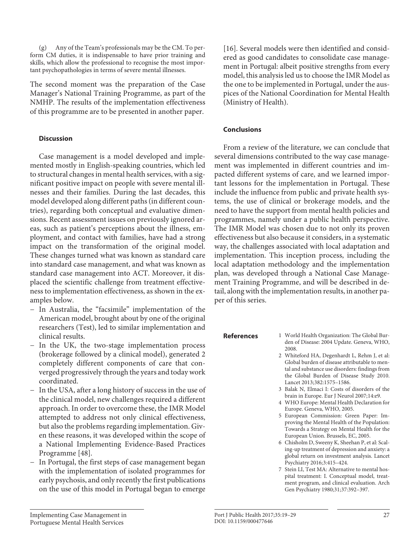(g) Any of the Team's professionals may be the CM. To perform CM duties, it is indispensable to have prior training and skills, which allow the professional to recognise the most important psychopathologies in terms of severe mental illnesses.

The second moment was the preparation of the Case Manager's National Training Programme, as part of the NMHP. The results of the implementation effectiveness of this programme are to be presented in another paper.

#### **Discussion**

Case management is a model developed and implemented mostly in English-speaking countries, which led to structural changes in mental health services, with a significant positive impact on people with severe mental illnesses and their families. During the last decades, this model developed along different paths (in different countries), regarding both conceptual and evaluative dimensions. Recent assessment issues on previously ignored areas, such as patient's perceptions about the illness, employment, and contact with families, have had a strong impact on the transformation of the original model. These changes turned what was known as standard care into standard case management, and what was known as standard case management into ACT. Moreover, it displaced the scientific challenge from treatment effectiveness to implementation effectiveness, as shown in the examples below.

- − In Australia, the "facsimile" implementation of the American model, brought about by one of the original researchers (Test), led to similar implementation and clinical results.
- − In the UK, the two-stage implementation process (brokerage followed by a clinical model), generated 2 completely different components of care that converged progressively through the years and today work coordinated.
- − In the USA, after a long history of success in the use of the clinical model, new challenges required a different approach. In order to overcome these, the IMR Model attempted to address not only clinical effectiveness, but also the problems regarding implementation. Given these reasons, it was developed within the scope of a National Implementing Evidence-Based Practices Programme [48].
- In Portugal, the first steps of case management began with the implementation of isolated programmes for early psychosis, and only recently the first publications on the use of this model in Portugal began to emerge

[16]. Several models were then identified and considered as good candidates to consolidate case management in Portugal: albeit positive strengths from every model, this analysis led us to choose the IMR Model as the one to be implemented in Portugal, under the auspices of the National Coordination for Mental Health (Ministry of Health).

#### **Conclusions**

From a review of the literature, we can conclude that several dimensions contributed to the way case management was implemented in different countries and impacted different systems of care, and we learned important lessons for the implementation in Portugal. These include the influence from public and private health systems, the use of clinical or brokerage models, and the need to have the support from mental health policies and programmes, namely under a public health perspective. The IMR Model was chosen due to not only its proven effectiveness but also because it considers, in a systematic way, the challenges associated with local adaptation and implementation. This inception process, including the local adaptation methodology and the implementation plan, was developed through a National Case Management Training Programme, and will be described in detail, along with the implementation results, in another paper of this series.

- **References** 1 World Health Organization: The Global Burden of Disease: 2004 Update. Geneva, WHO, 2008.
	- 2 Whiteford HA, Degenhardt L, Rehm J, et al: Global burden of disease attributable to mental and substance use disorders: findings from the Global Burden of Disease Study 2010. Lancet 2013;382:1575–1586.
	- 3 Balak N, Elmaci I: Costs of disorders of the brain in Europe. Eur J Neurol 2007;14:e9.
	- 4 WHO Europe: Mental Health Declaration for Europe. Geneva, WHO, 2005.
	- 5 European Commission: Green Paper: Improving the Mental Health of the Population: Towards a Strategy on Mental Health for the European Union. Brussels, EC, 2005.
	- 6 Chisholm D, Sweeny K, Sheehan P, et al: Scaling-up treatment of depression and anxiety: a global return on investment analysis. Lancet Psychiatry 2016;3:415–424.
	- 7 Stein LI, Test MA: Alternative to mental hospital treatment: I. Conceptual model, treatment program, and clinical evaluation. Arch Gen Psychiatry 1980;31;37:392–397.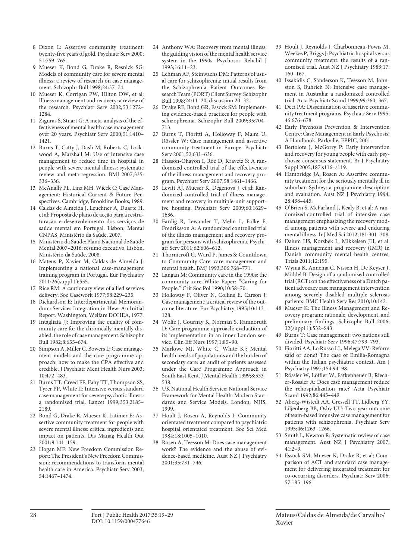- 8 Dixon L: Assertive community treatment: twenty-five years of gold. Psychiatr Serv 2000; 51:759–765.
- 9 Mueser K, Bond G, Drake R, Resnick SG: Models of community care for severe mental illness: a review of research on case management. Schizophr Bull 1998;24:37–74.
- 10 Mueser K, Corrigan PW, Hilton DW, et al: Illness management and recovery: a review of the research. Psychiatr Serv 2002;53:1272– 1284
- 11 Ziguras S, Stuart G: A meta-analysis of the effectiveness of mental health case management over 20 years. Psychiatr Serv 2000;51:1410– 1421.
- 12 Burns T, Catty J, Dash M, Roberts C, Lockwood A, Marshall M: Use of intensive case management to reduce time in hospital in people with severe mental illness: systematic review and meta-regression. BMJ 2007;335: 336–336.
- 13 McAnally PL, Linz MH, Wieck C; Case Management: Historical Current & Future Perspectives. Cambridge, Brookline Books, 1989.
- 14 Caldas de Almeida J, Leuchner A, Duarte H, et al: Proposta de plano de acção para a restruturação e desenvolvimento dos serviços de saúde mental em Portugal. Lisbon, Mental CNPAS, Ministério da Saúde, 2007.
- 15 Ministério da Saúde: Plano Nacional de Saúde Mental 2007–2016: resumo executivo. Lisbon, Ministério da Saúde, 2008.
- 16 Mateus P, Xavier M, Caldas de Almeida J: Implementing a national case-management training program in Portugal. Eur Psychiatry 2011;26(suppl 1):555.
- 17 Rice RM: A cautionary view of allied services delivery. Soc Casework 1977;58:229–235.
- 18 Richardson E: Interdepartmental Memorandum: Services Integration in Hew: An Initial Report. Washington, Welfare DOHEA, 1977.
- 19 Intagliata JJ: Improving the quality of community care for the chronically mentally disabled: the role of case management. Schizophr Bull 1982;8:655–674.
- 20 Simpson A, Miller C, Bowers L: Case management models and the care programme approach: how to make the CPA effective and credible. J Psychiatr Ment Health Nurs 2003; 10:472–483.
- 21 Burns TT, Creed FF, Fahy TT, Thompson SS, Tyrer PP, White II: Intensive versus standard case management for severe psychotic illness: a randomised trial. Lancet 1999;353:2185– 2189.
- 22 Bond G, Drake R, Mueser K, Latimer E: Assertive community treatment for people with severe mental illness: critical ingredients and impact on patients. Dis Manag Health Out 2001;9:141–159.
- 23 Hogan MF: New Freedom Commission Report: The President's New Freedom Commission: recommendations to transform mental health care in America. Psychiatr Serv 2003; 54:1467–1474.
- 24 Anthony WA: Recovery from mental illness: the guiding vision of the mental health service system in the 1990s. Psychosoc Rehabil J 1993;16:11–23.
- 25 Lehman AF, Steinwachs DM: Patterns of usual care for schizophrenia: initial results from the Schizophrenia Patient Outcomes Research Team (PORT) Client Survey. Schizophr Bull 1998;24:11–20; discussion 20–32.
- 26 Drake RE, Bond GR, Essock SM: Implementing evidence-based practices for people with schizophrenia. Schizophr Bull 2009;35:704– 713.
- 27 Burns T, Fioritti A, Holloway F, Malm U, Rössler W: Case management and assertive community treatment in Europe. Psychiatr Serv 2001;52:631–636.
- 28 Hasson-Ohayon I, Roe D, Kravetz S: A randomized controlled trial of the effectiveness of the illness management and recovery program. Psychiatr Serv 2007;58:1461–1466.
- 29 Levitt AJ, Mueser K, Degenova J, et al: Randomized controlled trial of illness management and recovery in multiple-unit supportive housing. Psychiatr Serv 2009;60:1629– 1636.
- 30 Fardig R, Lewander T, Melin L, Folke F, Fredriksson A: A randomized controlled trial of the illness management and recovery program for persons with schizophrenia. Psychiatr Serv 2011;62:606–612.
- 31 Thornicroft G, Ward P, James S: Countdown to Community Care: care management and mental health. BMJ 1993;306:768–771.
- 32 Langan M: Community care in the 1990s: the community care White Paper: "Caring for People." Crit Soc Pol 1990;10:58–70.
- 33 Holloway F, Oliver N, Collins E, Carson J: Case management: a critical review of the outcome literature. Eur Psychiatry 1995;10:113– 128.
- 34 Wolfe J, Gournay K, Norman S, Ramnoruth D: Care programme approach: evaluation of its implementation in an inner London service. Clin Eff Nurs 1997;1:85–90.
- 35 Marlowe MJ, White C, White KJ: Mental health needs of populations and the burden of secondary care: an audit of patients assessed under the Care Programme Approach in South East Kent. J Mental Health 1999;8:533– 538.
- 36 UK National Health Service: National Service Framework for Mental Health: Modern Standards and Service Models. London, NHS, 1999.
- 37 Hoult J, Rosen A, Reynolds I: Community orientated treatment compared to psychiatric hospital orientated treatment. Soc Sci Med 1984;18:1005–1010.
- 38 Rosen A, Teesson M: Does case management work? The evidence and the abuse of evidence-based medicine. Aust NZ J Psychiatry 2001;35:731–746.
- 39 Hoult J, Reynolds I, Charbonneau-Powis M, Weekes P, Briggs J: Psychiatric hospital versus community treatment: the results of a randomised trial. Aust NZ J Psychiatry 1983;17: 160–167.
- 40 Issakidis C, Sanderson K, Teesson M, Johnston S, Buhrich N: Intensive case management in Australia: a randomized controlled trial. Acta Psychiatr Scand 1999;99:360–367.
- 41 Deci PA: Dissemination of assertive community treatment programs. Psychiatr Serv 1995; 46:676–678.
- 42 Early Psychosis Prevention & Intervention Centre: Case Management in Early Psychosis: A Handbook. Parkville, EPPIC, 2001.
- 43 Bertolote J, McGorry P: Early intervention and recovery for young people with early psychosis: consensus statement. Br J Psychiatry Suppl 2005;187:s116–s119.
- 44 Hambridge JA, Rosen A: Assertive community treatment for the seriously mentally ill in suburban Sydney: a programme description and evaluation. Aust NZ J Psychiatry 1994; 28:438–445.
- 45 O'Brien S, McFarland J, Kealy B, et al: A randomized-controlled trial of intensive case management emphasizing the recovery model among patients with severe and enduring mental illness. Ir J Med Sci 2012;181:301–308.
- 46 Dalum HS, Korsbek L, Mikkelsen JH, et al: Illness management and recovery (IMR) in Danish community mental health centres. Trials 2011;12:195.
- 47 Wynia K, Annema C, Nissen H, De Keyser J, Middel B: Design of a randomised controlled trial (RCT) on the effectiveness of a Dutch patient advocacy case management intervention among severely disabled multiple sclerosis patients. BMC Health Serv Res 2010;10:142.
- 48 Mueser K: The Illness Management and Recovery program: rationale, development, and preliminary findings. Schizophr Bull 2006; 32(suppl 1):S32–S43.
- 49 Burns T: Case management: two nations still divided. Psychiatr Serv 1996;47:793–793.
- 50 Fioritti AA, Lo Russo LL, Melega VV: Reform said or done? The case of Emilia-Romagna within the Italian psychiatric context. Am J Psychiatry 1997;154:94–98.
- 51 Rössler W, Löffler W, Fätkenheuer B, Riecher-Rössler A: Does case management reduce the rehospitalization rate? Acta Psychiatr Scand 1992;86:445–449.
- 52 Aberg-Wistedt AA, Cressell TT, Lidberg YY, Liljenberg BB, Osby UU: Two-year outcome of team-based intensive case management for patients with schizophrenia. Psychiatr Serv 1995;46:1263–1266.
- 53 Smith L, Newton R: Systematic review of case management. Aust NZ J Psychiatry 2007; 41:2–9.
- 54 Essock SM, Mueser K, Drake R, et al: Comparison of ACT and standard case management for delivering integrated treatment for co-occurring disorders. Psychiatr Serv 2006; 57:185–196.